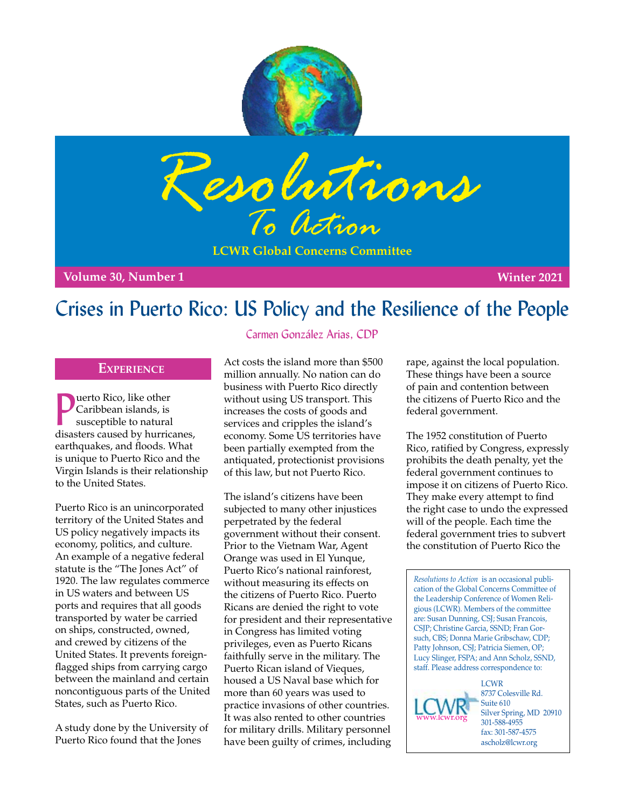



**LCWR Global Concerns Committee**

**Volume 30, Number 1 Winter 2021** 

# Crises in Puerto Rico: US Policy and the Resilience of the People

### **Experience**

**D** caribbean islands, is<br>susceptible to natural<br>disasters caused by hurricanes, uerto Rico, like other Caribbean islands, is susceptible to natural earthquakes, and floods. What is unique to Puerto Rico and the Virgin Islands is their relationship to the United States.

Puerto Rico is an unincorporated territory of the United States and US policy negatively impacts its economy, politics, and culture. An example of a negative federal statute is the "The Jones Act" of 1920. The law regulates commerce in US waters and between US ports and requires that all goods transported by water be carried on ships, constructed, owned, and crewed by citizens of the United States. It prevents foreignflagged ships from carrying cargo between the mainland and certain noncontiguous parts of the United States, such as Puerto Rico.

A study done by the University of Puerto Rico found that the Jones

## Carmen González Arias, CDP

Act costs the island more than \$500 million annually. No nation can do business with Puerto Rico directly without using US transport. This increases the costs of goods and services and cripples the island's economy. Some US territories have been partially exempted from the antiquated, protectionist provisions of this law, but not Puerto Rico.

The island's citizens have been subjected to many other injustices perpetrated by the federal government without their consent. Prior to the Vietnam War, Agent Orange was used in El Yunque, Puerto Rico's national rainforest, without measuring its effects on the citizens of Puerto Rico. Puerto Ricans are denied the right to vote for president and their representative in Congress has limited voting privileges, even as Puerto Ricans faithfully serve in the military. The Puerto Rican island of Vieques, housed a US Naval base which for more than 60 years was used to practice invasions of other countries. It was also rented to other countries for military drills. Military personnel have been guilty of crimes, including

rape, against the local population. These things have been a source of pain and contention between the citizens of Puerto Rico and the federal government.

The 1952 constitution of Puerto Rico, ratified by Congress, expressly prohibits the death penalty, yet the federal government continues to impose it on citizens of Puerto Rico. They make every attempt to find the right case to undo the expressed will of the people. Each time the federal government tries to subvert the constitution of Puerto Rico the

*Resolutions to Action* is an occasional publication of the Global Concerns Committee of the Leadership Conference of Women Religious (LCWR). Members of the committee are: Susan Dunning, CSJ; Susan Francois, CSJP; Christine Garcia, SSND; Fran Gorsuch, CBS; Donna Marie Gribschaw, CDP; Patty Johnson, CSJ; Patricia Siemen, OP; Lucy Slinger, FSPA; and Ann Scholz, SSND, staff. Please address correspondence to: